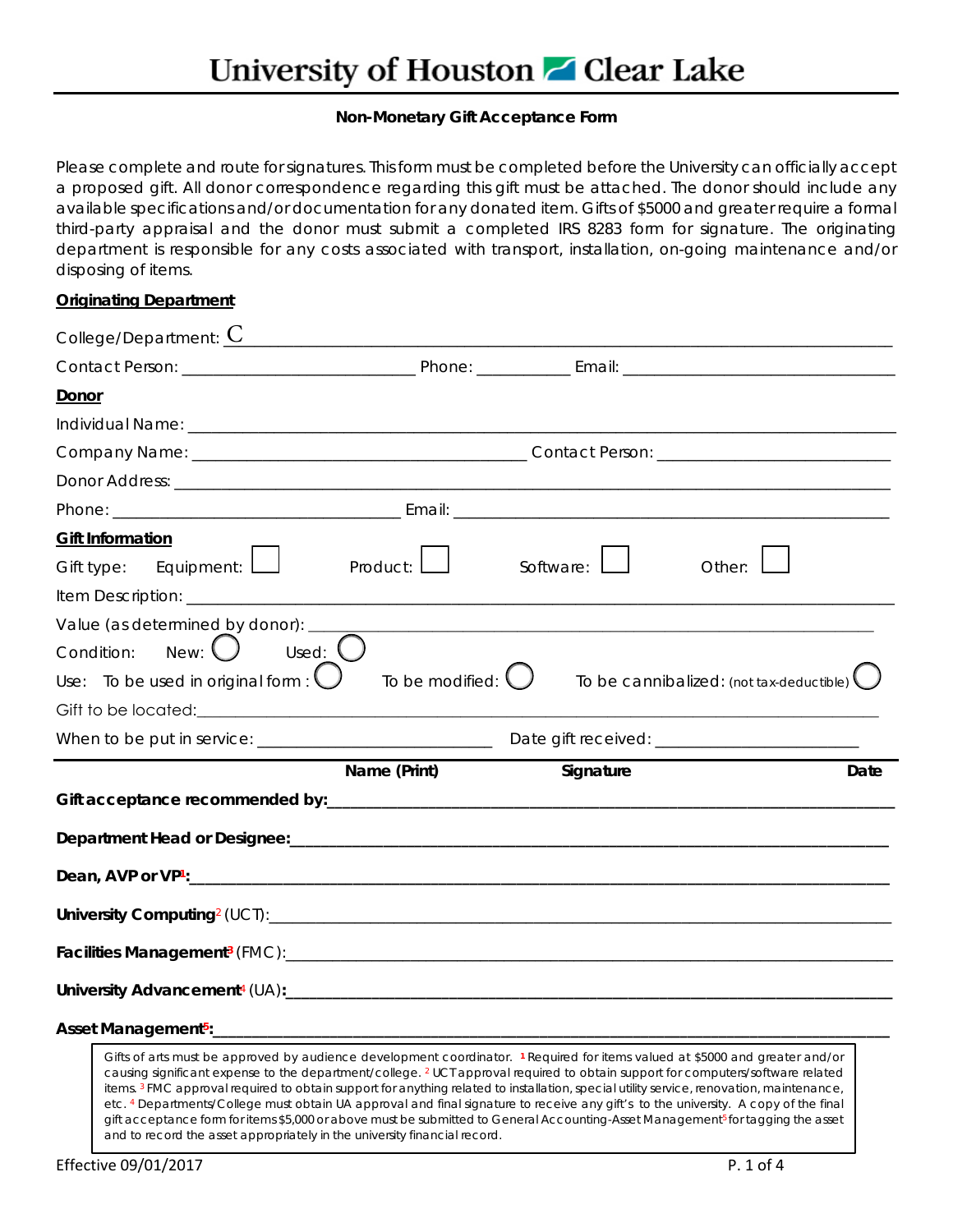## **Non-Monetary Gift Acceptance Form**

Please complete and route for signatures. This form must be completed before the University can officially accept a proposed gift. All donor correspondence regarding this gift must be attached. The donor should include any available specifications and/or documentation for any donated item. Gifts of \$5000 and greater require a formal third-party appraisal and the donor must submit a completed IRS 8283 form for signature. The originating department is responsible for any costs associated with transport, installation, on-going maintenance and/or disposing of items.

## **Originating Department**

| College/Department: $C$                                                                                                                                                                                                                                                    |              |           |                                          |
|----------------------------------------------------------------------------------------------------------------------------------------------------------------------------------------------------------------------------------------------------------------------------|--------------|-----------|------------------------------------------|
|                                                                                                                                                                                                                                                                            |              |           |                                          |
| Donor                                                                                                                                                                                                                                                                      |              |           |                                          |
|                                                                                                                                                                                                                                                                            |              |           |                                          |
|                                                                                                                                                                                                                                                                            |              |           |                                          |
|                                                                                                                                                                                                                                                                            |              |           |                                          |
|                                                                                                                                                                                                                                                                            |              |           |                                          |
| <b>Gift Information</b><br>Gift type: Equipment: $\Box$                                                                                                                                                                                                                    | Product: $L$ | Software: | Other:                                   |
| Value (as determined by donor): _____                                                                                                                                                                                                                                      |              |           |                                          |
| Used: $\bigcup$<br>$New: \bigcupCondition:Use: To be used in original form : \bigcup To be modified: \bigcup$                                                                                                                                                              |              |           | To be cannibalized: (not tax-deductible) |
|                                                                                                                                                                                                                                                                            |              |           |                                          |
|                                                                                                                                                                                                                                                                            | Name (Print) | Signature | Date                                     |
|                                                                                                                                                                                                                                                                            |              |           |                                          |
|                                                                                                                                                                                                                                                                            |              |           |                                          |
|                                                                                                                                                                                                                                                                            |              |           |                                          |
|                                                                                                                                                                                                                                                                            |              |           |                                          |
|                                                                                                                                                                                                                                                                            |              |           |                                          |
|                                                                                                                                                                                                                                                                            |              |           |                                          |
|                                                                                                                                                                                                                                                                            |              |           |                                          |
| Gifts of arts must be approved by audience development coordinator. 1 Required for items valued at \$5000 and greater and/or<br>causing significant expense to the department/college. <sup>2</sup> UCT approval required to obtain support for computers/software related |              | .         |                                          |

items. 3 FMC approval required to obtain support for anything related to installation, special utility service, renovation, maintenance, etc. 4 Departments/College must obtain UA approval and final signature to receive any gift's to the university. A copy of the final gift acceptance form for items \$5,000 or above must be submitted to General Accounting-Asset Management<sup>5</sup> for tagging the asset and to record the asset appropriately in the university financial record.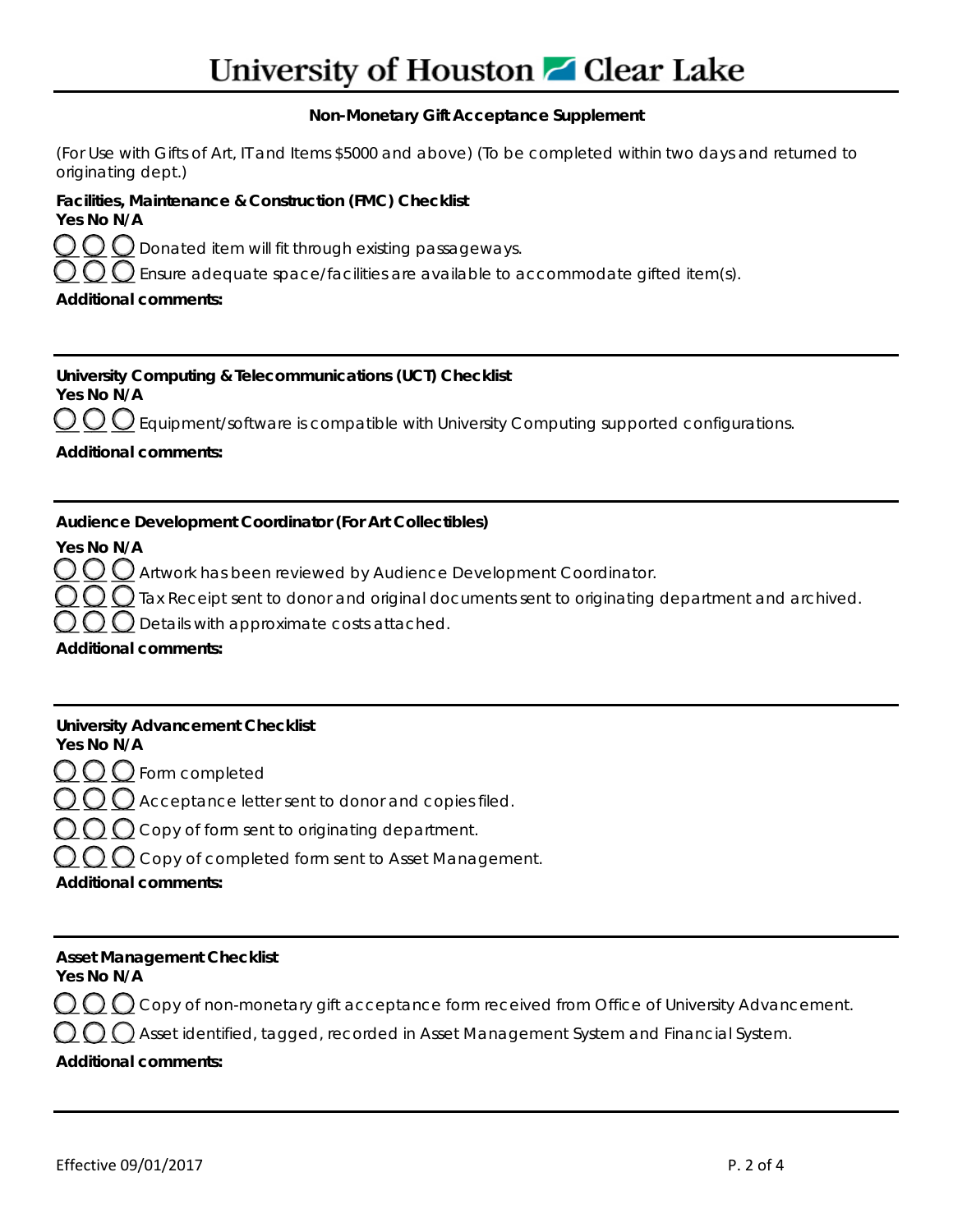# University of Houston **Z** Clear Lake

## **Non-Monetary Gift Acceptance Supplement**

(For Use with Gifts of Art, IT and Items \$5000 and above) (To be completed within two days and returned to originating dept.)

| Facilities, Maintenance & Construction (FMC) Checklist |  |
|--------------------------------------------------------|--|
| Yes No N/A                                             |  |
| $\sim$                                                 |  |

 $\mathop{\textstyle \bigodot} \mathop{\textstyle \bigodot} \mathop{\textstyle \bigodot}$  Donated item will fit through existing passageways.

 $\bigcirc$   $\bigcirc$   $\bigcirc$  Ensure adequate space/facilities are available to accommodate gifted item(s).

## **Additional comments:**

**University Computing & Telecommunications (UCT) Checklist Yes No N/A**   $\underline{\mathop{\mathcal{O}}\mathop{\mathcal{O}}\mathop{\mathcal{O}}\mathop{\mathcal{O}}}$  Equipment/software is compatible with University Computing supported configurations. **Additional comments:** 

## **Audience Development Coordinator (For Art Collectibles)**

**Yes No N/A**

 $\underline{\mathop{\cup}}\, \underline{\mathop{\cup}}\, \underline{\mathop{\cup}}$  Artwork has been reviewed by Audience Development Coordinator.

 $\bigcirc$   $\bigcirc$  Tax Receipt sent to donor and original documents sent to originating department and archived.

 $\sum$  Details with approximate costs attached.

**Additional comments:** 

| <b>University Advancement Checklist</b><br>Yes No N/A                                        |
|----------------------------------------------------------------------------------------------|
| $OO$ O Form completed                                                                        |
| OOO Acceptance letter sent to donor and copies filed.                                        |
| $\bigcap_{i=1}^n\bigcap_{i=1}^n\bigcap_{i=1}^n$ Copy of form sent to originating department. |
| $\bigcirc$ $\bigcirc$ $\bigcirc$ Copy of completed form sent to Asset Management.            |
| <b>Additional comments:</b>                                                                  |
|                                                                                              |

#### **Asset Management Checklist Yes No N/A**

 $\Omega$   $\Omega$  Copy of non-monetary gift acceptance form received from Office of University Advancement.

 $\Gamma$   $\Gamma$   $\Gamma$  Asset identified, tagged, recorded in Asset Management System and Financial System.

## **Additional comments:**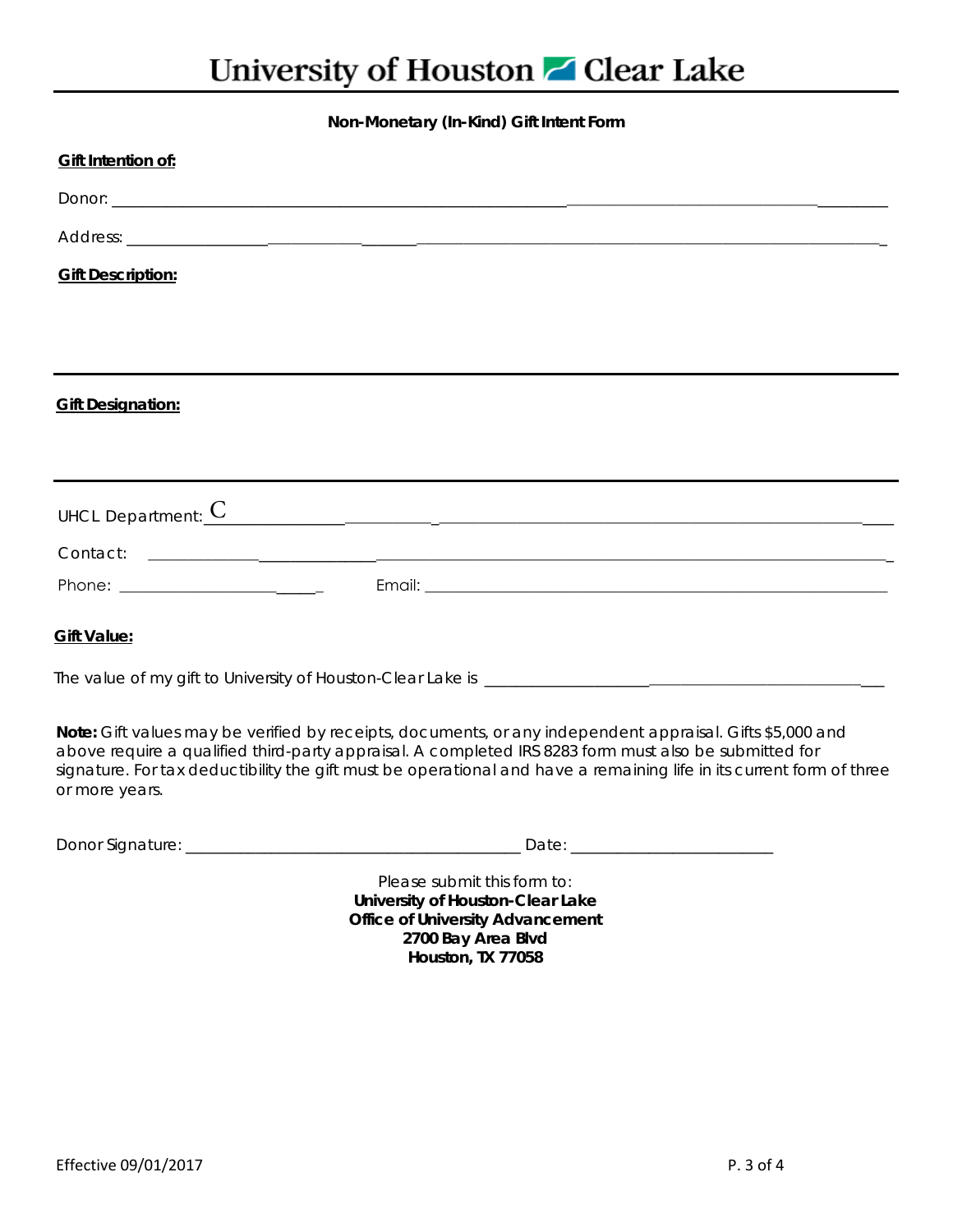## University of Houston **Z** Clear Lake

## **Non-Monetary (In-Kind) Gift Intent Form**

| <b>Gift Intention of:</b> |                                                                                                                                                                                                                                                                                                                                            |
|---------------------------|--------------------------------------------------------------------------------------------------------------------------------------------------------------------------------------------------------------------------------------------------------------------------------------------------------------------------------------------|
|                           |                                                                                                                                                                                                                                                                                                                                            |
|                           |                                                                                                                                                                                                                                                                                                                                            |
| <b>Gift Description:</b>  |                                                                                                                                                                                                                                                                                                                                            |
|                           |                                                                                                                                                                                                                                                                                                                                            |
|                           |                                                                                                                                                                                                                                                                                                                                            |
| <b>Gift Designation:</b>  |                                                                                                                                                                                                                                                                                                                                            |
|                           |                                                                                                                                                                                                                                                                                                                                            |
|                           |                                                                                                                                                                                                                                                                                                                                            |
| UHCL Department: $C$      | <u> 1989 - Johann Stoff, deutscher Stoff, der Stoff, der Stoff, der Stoff, der Stoff, der Stoff, der Stoff, der S</u>                                                                                                                                                                                                                      |
|                           |                                                                                                                                                                                                                                                                                                                                            |
|                           |                                                                                                                                                                                                                                                                                                                                            |
| <b>Gift Value:</b>        |                                                                                                                                                                                                                                                                                                                                            |
|                           |                                                                                                                                                                                                                                                                                                                                            |
|                           | Note: Gift values may be verified by receipts, documents, or any independent appraisal. Gifts \$5,000 and<br>above require a qualified third-party appraisal. A completed IRS 8283 form must also be submitted for<br>signature. For tax deductibility the gift must be operational and have a remaining life in its current form of three |

or more years.

Donor Signature: \_\_\_\_\_\_\_\_\_\_\_\_\_\_\_\_\_\_\_\_\_\_\_\_\_\_\_\_\_\_\_\_\_\_\_\_\_\_\_\_\_\_\_ Date: \_\_\_\_\_\_\_\_\_\_\_\_\_\_\_\_\_\_\_\_\_\_\_\_\_\_

Please submit this form to: **University of Houston-Clear Lake Office of University Advancement 2700 Bay Area Blvd Houston, TX 77058**